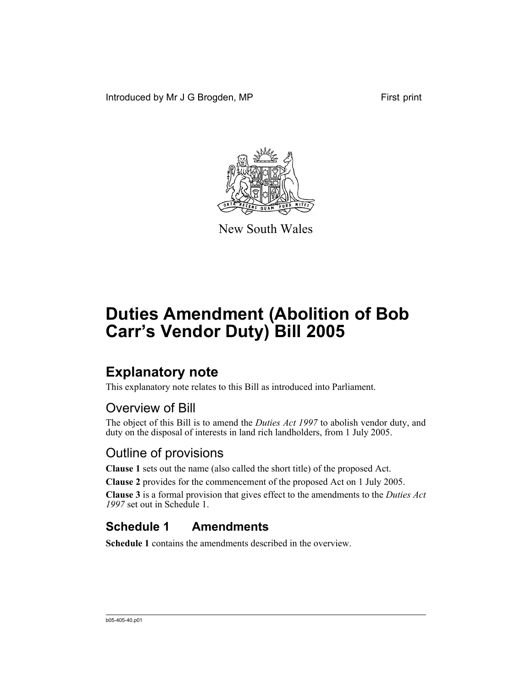Introduced by Mr J G Brogden, MP First print



New South Wales

# **Duties Amendment (Abolition of Bob Carr's Vendor Duty) Bill 2005**

### **Explanatory note**

This explanatory note relates to this Bill as introduced into Parliament.

### Overview of Bill

The object of this Bill is to amend the *Duties Act 1997* to abolish vendor duty, and duty on the disposal of interests in land rich landholders, from 1 July 2005.

#### Outline of provisions

**Clause 1** sets out the name (also called the short title) of the proposed Act.

**Clause 2** provides for the commencement of the proposed Act on 1 July 2005.

**Clause 3** is a formal provision that gives effect to the amendments to the *Duties Act 1997* set out in Schedule 1.

### **Schedule 1 Amendments**

**Schedule 1** contains the amendments described in the overview.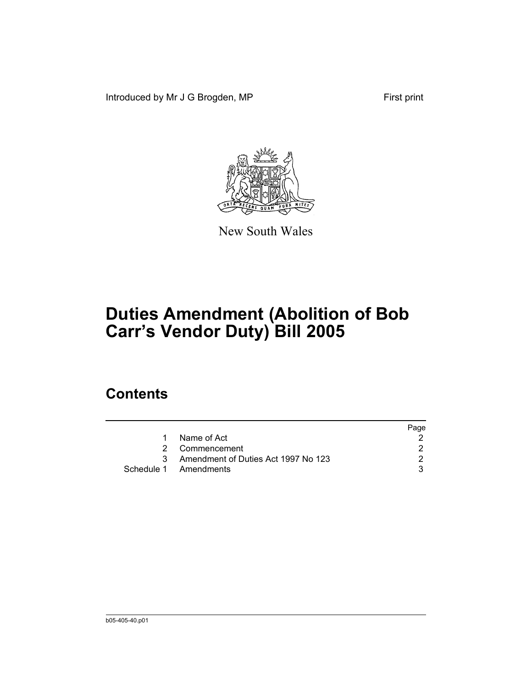Introduced by Mr J G Brogden, MP First print



New South Wales

## **Duties Amendment (Abolition of Bob Carr's Vendor Duty) Bill 2005**

#### **Contents**

|                                       | Page |
|---------------------------------------|------|
| 1 Name of Act                         |      |
| 2 Commencement                        |      |
| 3 Amendment of Duties Act 1997 No 123 |      |
| Schedule 1 Amendments                 |      |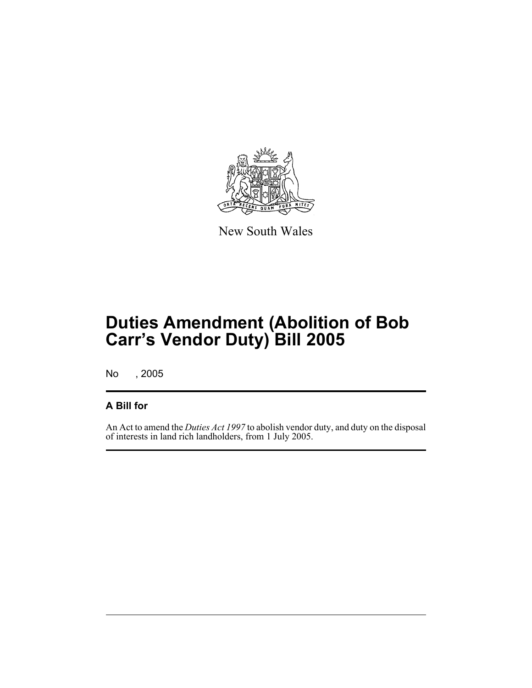

New South Wales

### **Duties Amendment (Abolition of Bob Carr's Vendor Duty) Bill 2005**

No , 2005

#### **A Bill for**

An Act to amend the *Duties Act 1997* to abolish vendor duty, and duty on the disposal of interests in land rich landholders, from 1 July 2005.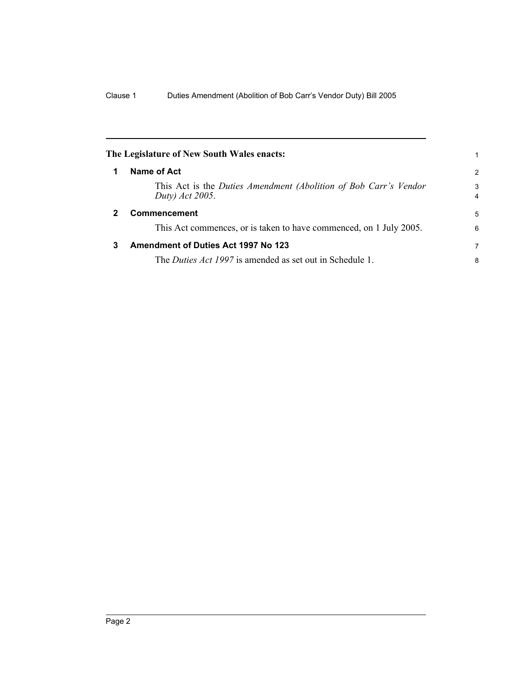<span id="page-5-1"></span><span id="page-5-0"></span>

|   | The Legislature of New South Wales enacts:                                          | 1                   |
|---|-------------------------------------------------------------------------------------|---------------------|
|   | Name of Act                                                                         | 2                   |
|   | This Act is the Duties Amendment (Abolition of Bob Carr's Vendor<br>Duty) Act 2005. | 3<br>$\overline{4}$ |
| 2 | <b>Commencement</b>                                                                 | 5                   |
|   | This Act commences, or is taken to have commenced, on 1 July 2005.                  | 6                   |
| 3 | <b>Amendment of Duties Act 1997 No 123</b>                                          | 7                   |
|   | The <i>Duties Act 1997</i> is amended as set out in Schedule 1.                     | 8                   |